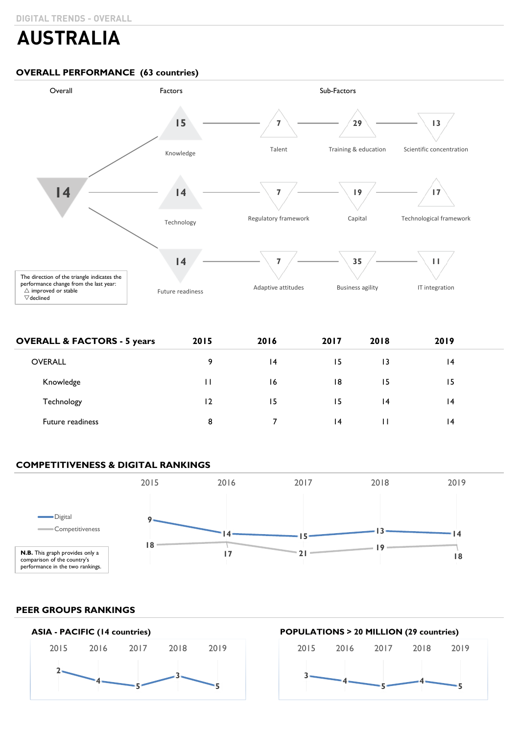# **AUSTRALIA**

# **OVERALL PERFORMANCE (63 countries)**



| <b>OVERALL &amp; FACTORS - 5 years</b> | 2015 | 2016 | 2017 | 2018 | 2019 |  |
|----------------------------------------|------|------|------|------|------|--|
| <b>OVERALL</b>                         | 9    | 4    | 15   | 13   | 14   |  |
| Knowledge                              | П    | 16   | 18   | 15   | 15   |  |
| Technology                             | 12   | 15   | 15   | 4    | 14   |  |
| Future readiness                       | 8    |      | 4    | П    | 4    |  |

# **COMPETITIVENESS & DIGITAL RANKINGS**



# **PEER GROUPS RANKINGS**